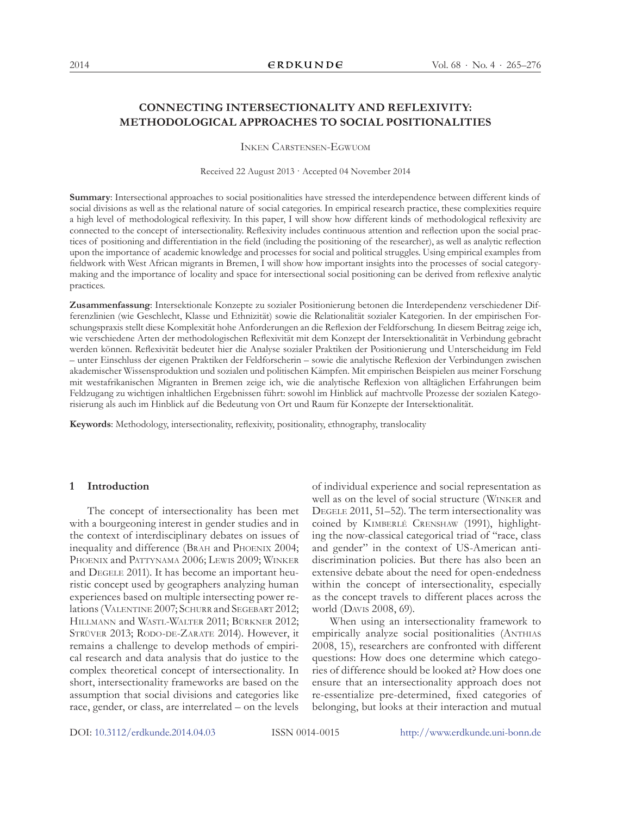# **CONNECTING INTERSECTIONALITY AND REFLEXIVITY: METHODOLOGICAL APPROACHES TO SOCIAL POSITIONALITIES**

Inken Carstensen-Egwuom

Received 22 August 2013 · Accepted 04 November 2014

**Summary**: Intersectional approaches to social positionalities have stressed the interdependence between different kinds of social divisions as well as the relational nature of social categories. In empirical research practice, these complexities require a high level of methodological reflexivity. In this paper, I will show how different kinds of methodological reflexivity are connected to the concept of intersectionality. Reflexivity includes continuous attention and reflection upon the social practices of positioning and differentiation in the field (including the positioning of the researcher), as well as analytic reflection upon the importance of academic knowledge and processes for social and political struggles. Using empirical examples from fieldwork with West African migrants in Bremen, I will show how important insights into the processes of social categorymaking and the importance of locality and space for intersectional social positioning can be derived from reflexive analytic practices.

**Zusammenfassung**: Intersektionale Konzepte zu sozialer Positionierung betonen die Interdependenz verschiedener Differenzlinien (wie Geschlecht, Klasse und Ethnizität) sowie die Relationalität sozialer Kategorien. In der empirischen Forschungspraxis stellt diese Komplexität hohe Anforderungen an die Reflexion der Feldforschung. In diesem Beitrag zeige ich, wie verschiedene Arten der methodologischen Reflexivität mit dem Konzept der Intersektionalität in Verbindung gebracht werden können. Reflexivität bedeutet hier die Analyse sozialer Praktiken der Positionierung und Unterscheidung im Feld – unter Einschluss der eigenen Praktiken der Feldforscherin – sowie die analytische Reflexion der Verbindungen zwischen akademischer Wissensproduktion und sozialen und politischen Kämpfen. Mit empirischen Beispielen aus meiner Forschung mit westafrikanischen Migranten in Bremen zeige ich, wie die analytische Reflexion von alltäglichen Erfahrungen beim Feldzugang zu wichtigen inhaltlichen Ergebnissen führt: sowohl im Hinblick auf machtvolle Prozesse der sozialen Kategorisierung als auch im Hinblick auf die Bedeutung von Ort und Raum für Konzepte der Intersektionalität.

**Keywords**: Methodology, intersectionality, reflexivity, positionality, ethnography, translocality

#### **1 Introduction**

The concept of intersectionality has been met with a bourgeoning interest in gender studies and in the context of interdisciplinary debates on issues of inequality and difference (Brah and Phoenix 2004; PHOENIX and PATTYNAMA 2006; LEWIS 2009; WINKER and DEGELE 2011). It has become an important heuristic concept used by geographers analyzing human experiences based on multiple intersecting power relations (VALENTINE 2007; SCHURR and SEGEBART 2012; Hillmann and Wastl-Walter 2011; Bürkner 2012; STRÜVER 2013; RODO-DE-ZARATE 2014). However, it remains a challenge to develop methods of empirical research and data analysis that do justice to the complex theoretical concept of intersectionality. In short, intersectionality frameworks are based on the assumption that social divisions and categories like race, gender, or class, are interrelated – on the levels

of individual experience and social representation as well as on the level of social structure (Winker and DEGELE 2011, 51–52). The term intersectionality was coined by KIMBERLÉ CRENSHAW (1991), highlighting the now-classical categorical triad of "race, class and gender" in the context of US-American antidiscrimination policies. But there has also been an extensive debate about the need for open-endedness within the concept of intersectionality, especially as the concept travels to different places across the world (Davis 2008, 69).

When using an intersectionality framework to empirically analyze social positionalities (Anthias 2008, 15), researchers are confronted with different questions: How does one determine which categories of difference should be looked at? How does one ensure that an intersectionality approach does not re-essentialize pre-determined, fixed categories of belonging, but looks at their interaction and mutual

DOI: [10.3112/erdkunde.2014.04.03](dx.doi.org/10.3112/erdkunde.2014.04.03) ISSN 0014-0015 <http://www.erdkunde.uni-bonn.de>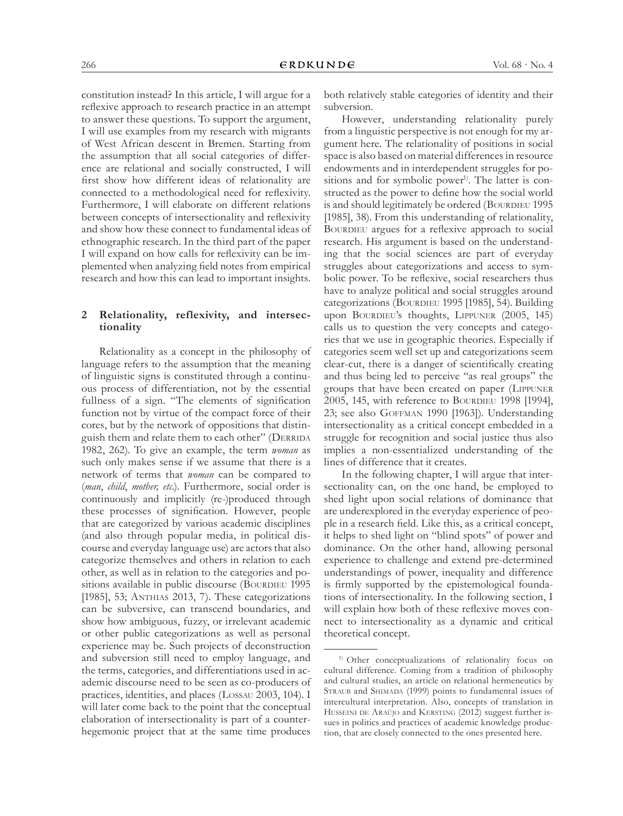constitution instead? In this article, I will argue for a reflexive approach to research practice in an attempt to answer these questions. To support the argument, I will use examples from my research with migrants of West African descent in Bremen. Starting from the assumption that all social categories of difference are relational and socially constructed, I will first show how different ideas of relationality are connected to a methodological need for reflexivity. Furthermore, I will elaborate on different relations between concepts of intersectionality and reflexivity and show how these connect to fundamental ideas of ethnographic research. In the third part of the paper I will expand on how calls for reflexivity can be implemented when analyzing field notes from empirical research and how this can lead to important insights.

# **2 Relationality, reflexivity, and intersectionality**

Relationality as a concept in the philosophy of language refers to the assumption that the meaning of linguistic signs is constituted through a continuous process of differentiation, not by the essential fullness of a sign. "The elements of signification function not by virtue of the compact force of their cores, but by the network of oppositions that distinguish them and relate them to each other" (DERRIDA 1982, 262). To give an example, the term *woman* as such only makes sense if we assume that there is a network of terms that *woman* can be compared to (*man*, *child*, *mother, etc.*). Furthermore, social order is continuously and implicitly (re-)produced through these processes of signification. However, people that are categorized by various academic disciplines (and also through popular media, in political discourse and everyday language use) are actors that also categorize themselves and others in relation to each other, as well as in relation to the categories and positions available in public discourse (BOURDIEU 1995 [1985], 53; ANTHIAS 2013, 7). These categorizations can be subversive, can transcend boundaries, and show how ambiguous, fuzzy, or irrelevant academic or other public categorizations as well as personal experience may be. Such projects of deconstruction and subversion still need to employ language, and the terms, categories, and differentiations used in academic discourse need to be seen as co-producers of practices, identities, and places (Lossau 2003, 104). I will later come back to the point that the conceptual elaboration of intersectionality is part of a counterhegemonic project that at the same time produces both relatively stable categories of identity and their subversion.

However, understanding relationality purely from a linguistic perspective is not enough for my argument here. The relationality of positions in social space is also based on material differences in resource endowments and in interdependent struggles for positions and for symbolic power<sup>1)</sup>. The latter is constructed as the power to define how the social world is and should legitimately be ordered (BOURDIEU 1995 [1985], 38). From this understanding of relationality, BOURDIEU argues for a reflexive approach to social research. His argument is based on the understanding that the social sciences are part of everyday struggles about categorizations and access to symbolic power. To be reflexive, social researchers thus have to analyze political and social struggles around categorizations (BOURDIEU 1995 [1985], 54). Building upon BOURDIEU's thoughts, LIPPUNER (2005, 145) calls us to question the very concepts and categories that we use in geographic theories. Especially if categories seem well set up and categorizations seem clear-cut, there is a danger of scientifically creating and thus being led to perceive "as real groups" the groups that have been created on paper (Lippuner 2005, 145, with reference to BOURDIEU 1998 [1994], 23; see also Goffman 1990 [1963]). Understanding intersectionality as a critical concept embedded in a struggle for recognition and social justice thus also implies a non-essentialized understanding of the lines of difference that it creates.

In the following chapter, I will argue that intersectionality can, on the one hand, be employed to shed light upon social relations of dominance that are underexplored in the everyday experience of people in a research field. Like this, as a critical concept, it helps to shed light on "blind spots" of power and dominance. On the other hand, allowing personal experience to challenge and extend pre-determined understandings of power, inequality and difference is firmly supported by the epistemological foundations of intersectionality. In the following section, I will explain how both of these reflexive moves connect to intersectionality as a dynamic and critical theoretical concept.

<sup>&</sup>lt;sup>1)</sup> Other conceptualizations of relationality focus on cultural difference. Coming from a tradition of philosophy and cultural studies, an article on relational hermeneutics by STRAUB and SHIMADA (1999) points to fundamental issues of intercultural interpretation. Also, concepts of translation in HUSSEINI DE ARAÚJO and KERSTING (2012) suggest further issues in politics and practices of academic knowledge production, that are closely connected to the ones presented here.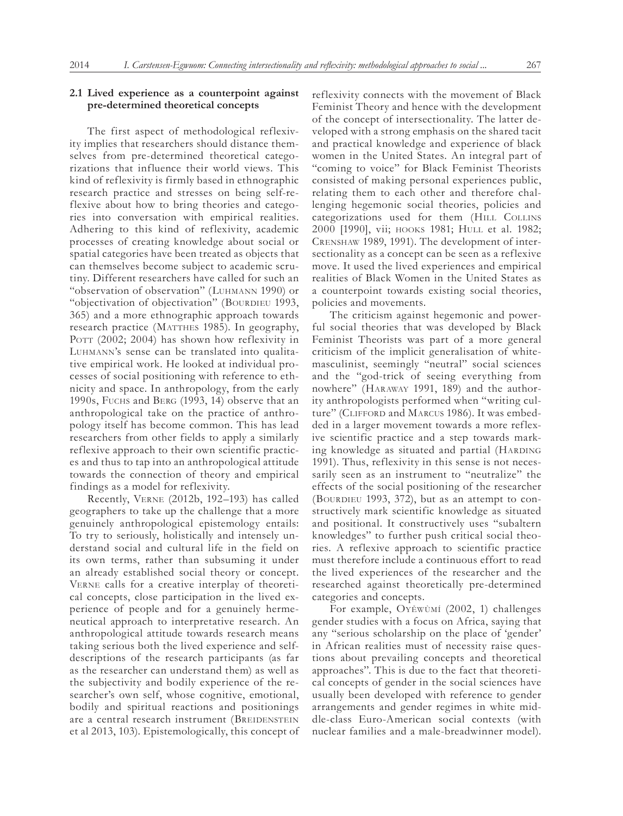# **2.1 Lived experience as a counterpoint against pre-determined theoretical concepts**

The first aspect of methodological reflexivity implies that researchers should distance themselves from pre-determined theoretical categorizations that influence their world views. This kind of reflexivity is firmly based in ethnographic research practice and stresses on being self-reflexive about how to bring theories and categories into conversation with empirical realities. Adhering to this kind of reflexivity, academic processes of creating knowledge about social or spatial categories have been treated as objects that can themselves become subject to academic scrutiny. Different researchers have called for such an "observation of observation" (Luhmann 1990) or "objectivation of objectivation" (BOURDIEU 1993, 365) and a more ethnographic approach towards research practice (MATTHES 1985). In geography, POTT (2002; 2004) has shown how reflexivity in Luhmann's sense can be translated into qualitative empirical work. He looked at individual processes of social positioning with reference to ethnicity and space. In anthropology, from the early 1990s, Fuchs and Berg (1993, 14) observe that an anthropological take on the practice of anthropology itself has become common. This has lead researchers from other fields to apply a similarly reflexive approach to their own scientific practices and thus to tap into an anthropological attitude towards the connection of theory and empirical findings as a model for reflexivity.

Recently, Verne (2012b, 192–193) has called geographers to take up the challenge that a more genuinely anthropological epistemology entails: To try to seriously, holistically and intensely understand social and cultural life in the field on its own terms, rather than subsuming it under an already established social theory or concept. Verne calls for a creative interplay of theoretical concepts, close participation in the lived experience of people and for a genuinely hermeneutical approach to interpretative research. An anthropological attitude towards research means taking serious both the lived experience and selfdescriptions of the research participants (as far as the researcher can understand them) as well as the subjectivity and bodily experience of the researcher's own self, whose cognitive, emotional, bodily and spiritual reactions and positionings are a central research instrument (BREIDENSTEIN et al 2013, 103). Epistemologically, this concept of reflexivity connects with the movement of Black Feminist Theory and hence with the development of the concept of intersectionality. The latter developed with a strong emphasis on the shared tacit and practical knowledge and experience of black women in the United States. An integral part of "coming to voice" for Black Feminist Theorists consisted of making personal experiences public, relating them to each other and therefore challenging hegemonic social theories, policies and categorizations used for them (HILL COLLINS 2000 [1990], vii; hooks 1981; Hull et al. 1982; Crenshaw 1989, 1991). The development of intersectionality as a concept can be seen as a reflexive move. It used the lived experiences and empirical realities of Black Women in the United States as a counterpoint towards existing social theories, policies and movements.

The criticism against hegemonic and powerful social theories that was developed by Black Feminist Theorists was part of a more general criticism of the implicit generalisation of whitemasculinist, seemingly "neutral" social sciences and the "god-trick of seeing everything from nowhere" (Haraway 1991, 189) and the authority anthropologists performed when "writing culture" (CLIFFORD and MARCUS 1986). It was embedded in a larger movement towards a more reflexive scientific practice and a step towards marking knowledge as situated and partial (HARDING 1991). Thus, reflexivity in this sense is not necessarily seen as an instrument to "neutralize" the effects of the social positioning of the researcher (BOURDIEU 1993, 372), but as an attempt to constructively mark scientific knowledge as situated and positional. It constructively uses "subaltern knowledges" to further push critical social theories. A reflexive approach to scientific practice must therefore include a continuous effort to read the lived experiences of the researcher and the researched against theoretically pre-determined categories and concepts.

For example, Oyěwùmí (2002, 1) challenges gender studies with a focus on Africa, saying that any "serious scholarship on the place of 'gender' in African realities must of necessity raise questions about prevailing concepts and theoretical approaches". This is due to the fact that theoretical concepts of gender in the social sciences have usually been developed with reference to gender arrangements and gender regimes in white middle-class Euro-American social contexts (with nuclear families and a male-breadwinner model).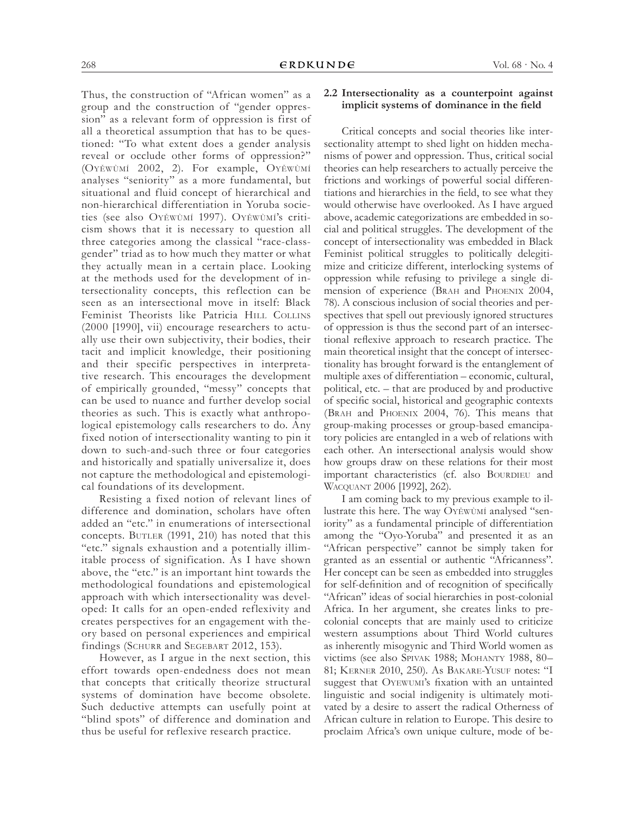Thus, the construction of "African women" as a group and the construction of "gender oppression" as a relevant form of oppression is first of all a theoretical assumption that has to be questioned: "To what extent does a gender analysis reveal or occlude other forms of oppression?" (Oyěwùmí 2002, 2). For example, Oyěwùmí analyses "seniority" as a more fundamental, but situational and fluid concept of hierarchical and non-hierarchical differentiation in Yoruba societies (see also Oyěwùmí 1997). Oyěwùmí's criticism shows that it is necessary to question all three categories among the classical "race-classgender" triad as to how much they matter or what they actually mean in a certain place. Looking at the methods used for the development of intersectionality concepts, this reflection can be seen as an intersectional move in itself: Black Feminist Theorists like Patricia HILL COLLINS (2000 [1990], vii) encourage researchers to actually use their own subjectivity, their bodies, their tacit and implicit knowledge, their positioning and their specific perspectives in interpretative research. This encourages the development of empirically grounded, "messy" concepts that can be used to nuance and further develop social theories as such. This is exactly what anthropological epistemology calls researchers to do. Any fixed notion of intersectionality wanting to pin it down to such-and-such three or four categories and historically and spatially universalize it, does not capture the methodological and epistemological foundations of its development.

Resisting a fixed notion of relevant lines of difference and domination, scholars have often added an "etc." in enumerations of intersectional concepts. BUTLER (1991, 210) has noted that this "etc." signals exhaustion and a potentially illimitable process of signification. As I have shown above, the "etc." is an important hint towards the methodological foundations and epistemological approach with which intersectionality was developed: It calls for an open-ended reflexivity and creates perspectives for an engagement with theory based on personal experiences and empirical findings (SCHURR and SEGEBART 2012, 153).

However, as I argue in the next section, this effort towards open-endedness does not mean that concepts that critically theorize structural systems of domination have become obsolete. Such deductive attempts can usefully point at "blind spots" of difference and domination and thus be useful for reflexive research practice.

### **2.2 Intersectionality as a counterpoint against implicit systems of dominance in the field**

Critical concepts and social theories like intersectionality attempt to shed light on hidden mechanisms of power and oppression. Thus, critical social theories can help researchers to actually perceive the frictions and workings of powerful social differentiations and hierarchies in the field, to see what they would otherwise have overlooked. As I have argued above, academic categorizations are embedded in social and political struggles. The development of the concept of intersectionality was embedded in Black Feminist political struggles to politically delegitimize and criticize different, interlocking systems of oppression while refusing to privilege a single dimension of experience (Brah and Phoenix 2004, 78). A conscious inclusion of social theories and perspectives that spell out previously ignored structures of oppression is thus the second part of an intersectional reflexive approach to research practice. The main theoretical insight that the concept of intersectionality has brought forward is the entanglement of multiple axes of differentiation – economic, cultural, political, etc. – that are produced by and productive of specific social, historical and geographic contexts (Brah and Phoenix 2004, 76). This means that group-making processes or group-based emancipatory policies are entangled in a web of relations with each other. An intersectional analysis would show how groups draw on these relations for their most important characteristics (cf. also BOURDIEU and Wacquant 2006 [1992], 262).

I am coming back to my previous example to illustrate this here. The way Oyěwùmí analysed "seniority" as a fundamental principle of differentiation among the "Oyo-Yoruba" and presented it as an "African perspective" cannot be simply taken for granted as an essential or authentic "Africanness". Her concept can be seen as embedded into struggles for self-definition and of recognition of specifically "African" ideas of social hierarchies in post-colonial Africa. In her argument, she creates links to precolonial concepts that are mainly used to criticize western assumptions about Third World cultures as inherently misogynic and Third World women as victims (see also Spivak 1988; Mohanty 1988, 80– 81; Kerner 2010, 250). As Bakare-Yusuf notes: "I suggest that OYEWUMI's fixation with an untainted linguistic and social indigenity is ultimately motivated by a desire to assert the radical Otherness of African culture in relation to Europe. This desire to proclaim Africa's own unique culture, mode of be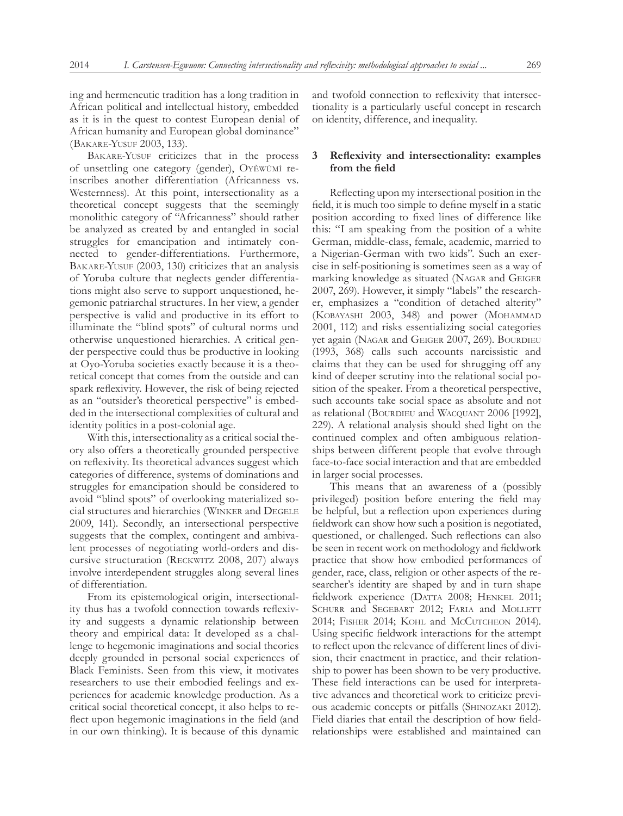ing and hermeneutic tradition has a long tradition in African political and intellectual history, embedded as it is in the quest to contest European denial of African humanity and European global dominance" (Bakare-Yusuf 2003, 133).

BAKARE-YUSUF criticizes that in the process of unsettling one category (gender), Oyěwùmí reinscribes another differentiation (Africanness vs. Westernness). At this point, intersectionality as a theoretical concept suggests that the seemingly monolithic category of "Africanness" should rather be analyzed as created by and entangled in social struggles for emancipation and intimately connected to gender-differentiations. Furthermore, BAKARE-YUSUF (2003, 130) criticizes that an analysis of Yoruba culture that neglects gender differentiations might also serve to support unquestioned, hegemonic patriarchal structures. In her view, a gender perspective is valid and productive in its effort to illuminate the "blind spots" of cultural norms und otherwise unquestioned hierarchies. A critical gender perspective could thus be productive in looking at Oyo-Yoruba societies exactly because it is a theoretical concept that comes from the outside and can spark reflexivity. However, the risk of being rejected as an "outsider's theoretical perspective" is embedded in the intersectional complexities of cultural and identity politics in a post-colonial age.

With this, intersectionality as a critical social theory also offers a theoretically grounded perspective on reflexivity. Its theoretical advances suggest which categories of difference, systems of dominations and struggles for emancipation should be considered to avoid "blind spots" of overlooking materialized social structures and hierarchies (Winker and Degele 2009, 141). Secondly, an intersectional perspective suggests that the complex, contingent and ambivalent processes of negotiating world-orders and discursive structuration (Reckwitz 2008, 207) always involve interdependent struggles along several lines of differentiation.

From its epistemological origin, intersectionality thus has a twofold connection towards reflexivity and suggests a dynamic relationship between theory and empirical data: It developed as a challenge to hegemonic imaginations and social theories deeply grounded in personal social experiences of Black Feminists. Seen from this view, it motivates researchers to use their embodied feelings and experiences for academic knowledge production. As a critical social theoretical concept, it also helps to reflect upon hegemonic imaginations in the field (and in our own thinking). It is because of this dynamic

and twofold connection to reflexivity that intersectionality is a particularly useful concept in research on identity, difference, and inequality.

# **3 Reflexivity and intersectionality: examples from the field**

Reflecting upon my intersectional position in the field, it is much too simple to define myself in a static position according to fixed lines of difference like this: "I am speaking from the position of a white German, middle-class, female, academic, married to a Nigerian-German with two kids". Such an exercise in self-positioning is sometimes seen as a way of marking knowledge as situated (Nagar and Geiger 2007, 269). However, it simply "labels" the researcher, emphasizes a "condition of detached alterity" (Kobayashi 2003, 348) and power (Mohammad 2001, 112) and risks essentializing social categories yet again (NAGAR and GEIGER 2007, 269). BOURDIEU (1993, 368) calls such accounts narcissistic and claims that they can be used for shrugging off any kind of deeper scrutiny into the relational social position of the speaker. From a theoretical perspective, such accounts take social space as absolute and not as relational (BOURDIEU and WACQUANT 2006 [1992], 229). A relational analysis should shed light on the continued complex and often ambiguous relationships between different people that evolve through face-to-face social interaction and that are embedded in larger social processes.

This means that an awareness of a (possibly privileged) position before entering the field may be helpful, but a reflection upon experiences during fieldwork can show how such a position is negotiated, questioned, or challenged. Such reflections can also be seen in recent work on methodology and fieldwork practice that show how embodied performances of gender, race, class, religion or other aspects of the researcher's identity are shaped by and in turn shape fieldwork experience (DATTA 2008; HENKEL 2011; SCHURR and SEGEBART 2012; FARIA and MOLLETT 2014; FISHER 2014; KOHL and McCUTCHEON 2014). Using specific fieldwork interactions for the attempt to reflect upon the relevance of different lines of division, their enactment in practice, and their relationship to power has been shown to be very productive. These field interactions can be used for interpretative advances and theoretical work to criticize previous academic concepts or pitfalls (Shinozaki 2012). Field diaries that entail the description of how fieldrelationships were established and maintained can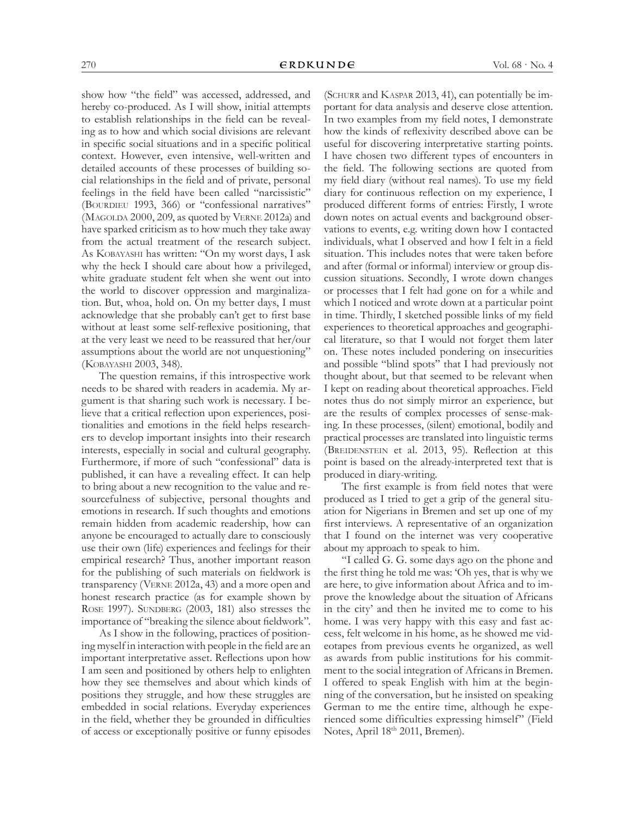show how "the field" was accessed, addressed, and hereby co-produced. As I will show, initial attempts to establish relationships in the field can be revealing as to how and which social divisions are relevant in specific social situations and in a specific political context. However, even intensive, well-written and detailed accounts of these processes of building social relationships in the field and of private, personal feelings in the field have been called "narcissistic" (BOURDIEU 1993, 366) or "confessional narratives" (MAGOLDA 2000, 209, as quoted by VERNE 2012a) and have sparked criticism as to how much they take away from the actual treatment of the research subject. As Kobayashi has written: "On my worst days, I ask why the heck I should care about how a privileged, white graduate student felt when she went out into the world to discover oppression and marginalization. But, whoa, hold on. On my better days, I must acknowledge that she probably can't get to first base without at least some self-reflexive positioning, that at the very least we need to be reassured that her/our assumptions about the world are not unquestioning" (Kobayashi 2003, 348).

The question remains, if this introspective work needs to be shared with readers in academia. My argument is that sharing such work is necessary. I believe that a critical reflection upon experiences, positionalities and emotions in the field helps researchers to develop important insights into their research interests, especially in social and cultural geography. Furthermore, if more of such "confessional" data is published, it can have a revealing effect. It can help to bring about a new recognition to the value and resourcefulness of subjective, personal thoughts and emotions in research. If such thoughts and emotions remain hidden from academic readership, how can anyone be encouraged to actually dare to consciously use their own (life) experiences and feelings for their empirical research? Thus, another important reason for the publishing of such materials on fieldwork is transparency (Verne 2012a, 43) and a more open and honest research practice (as for example shown by ROSE 1997). SUNDBERG (2003, 181) also stresses the importance of "breaking the silence about fieldwork".

As I show in the following, practices of positioning myself in interaction with people in the field are an important interpretative asset. Reflections upon how I am seen and positioned by others help to enlighten how they see themselves and about which kinds of positions they struggle, and how these struggles are embedded in social relations. Everyday experiences in the field, whether they be grounded in difficulties of access or exceptionally positive or funny episodes (SCHURR and KASPAR 2013, 41), can potentially be important for data analysis and deserve close attention. In two examples from my field notes, I demonstrate how the kinds of reflexivity described above can be useful for discovering interpretative starting points. I have chosen two different types of encounters in the field. The following sections are quoted from my field diary (without real names). To use my field diary for continuous reflection on my experience, I produced different forms of entries: Firstly, I wrote down notes on actual events and background observations to events, e.g. writing down how I contacted individuals, what I observed and how I felt in a field situation. This includes notes that were taken before and after (formal or informal) interview or group discussion situations. Secondly, I wrote down changes or processes that I felt had gone on for a while and which I noticed and wrote down at a particular point in time. Thirdly, I sketched possible links of my field experiences to theoretical approaches and geographical literature, so that I would not forget them later on. These notes included pondering on insecurities and possible "blind spots" that I had previously not thought about, but that seemed to be relevant when I kept on reading about theoretical approaches. Field notes thus do not simply mirror an experience, but are the results of complex processes of sense-making. In these processes, (silent) emotional, bodily and practical processes are translated into linguistic terms (BREIDENSTEIN et al. 2013, 95). Reflection at this point is based on the already-interpreted text that is produced in diary-writing.

The first example is from field notes that were produced as I tried to get a grip of the general situation for Nigerians in Bremen and set up one of my first interviews. A representative of an organization that I found on the internet was very cooperative about my approach to speak to him.

"I called G. G. some days ago on the phone and the first thing he told me was: 'Oh yes, that is why we are here, to give information about Africa and to improve the knowledge about the situation of Africans in the city' and then he invited me to come to his home. I was very happy with this easy and fast access, felt welcome in his home, as he showed me videotapes from previous events he organized, as well as awards from public institutions for his commitment to the social integration of Africans in Bremen. I offered to speak English with him at the beginning of the conversation, but he insisted on speaking German to me the entire time, although he experienced some difficulties expressing himself" (Field Notes, April 18th 2011, Bremen).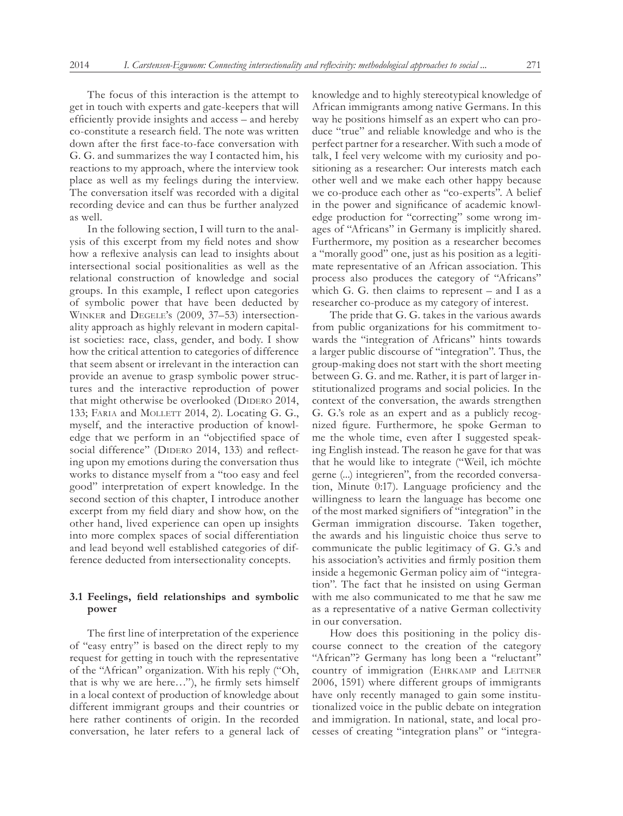The focus of this interaction is the attempt to get in touch with experts and gate-keepers that will efficiently provide insights and access – and hereby co-constitute a research field. The note was written down after the first face-to-face conversation with G. G. and summarizes the way I contacted him, his reactions to my approach, where the interview took place as well as my feelings during the interview. The conversation itself was recorded with a digital recording device and can thus be further analyzed as well.

In the following section, I will turn to the analysis of this excerpt from my field notes and show how a reflexive analysis can lead to insights about intersectional social positionalities as well as the relational construction of knowledge and social groups. In this example, I reflect upon categories of symbolic power that have been deducted by Winker and Degele's (2009, 37–53) intersectionality approach as highly relevant in modern capitalist societies: race, class, gender, and body. I show how the critical attention to categories of difference that seem absent or irrelevant in the interaction can provide an avenue to grasp symbolic power structures and the interactive reproduction of power that might otherwise be overlooked (DIDERO 2014, 133; FARIA and MOLLETT 2014, 2). Locating G. G., myself, and the interactive production of knowledge that we perform in an "objectified space of social difference" (DIDERO 2014, 133) and reflecting upon my emotions during the conversation thus works to distance myself from a "too easy and feel good" interpretation of expert knowledge. In the second section of this chapter, I introduce another excerpt from my field diary and show how, on the other hand, lived experience can open up insights into more complex spaces of social differentiation and lead beyond well established categories of difference deducted from intersectionality concepts.

## **3.1 Feelings, field relationships and symbolic power**

The first line of interpretation of the experience of "easy entry" is based on the direct reply to my request for getting in touch with the representative of the "African" organization. With his reply ("Oh, that is why we are here…"), he firmly sets himself in a local context of production of knowledge about different immigrant groups and their countries or here rather continents of origin. In the recorded conversation, he later refers to a general lack of

knowledge and to highly stereotypical knowledge of African immigrants among native Germans. In this way he positions himself as an expert who can produce "true" and reliable knowledge and who is the perfect partner for a researcher. With such a mode of talk, I feel very welcome with my curiosity and positioning as a researcher: Our interests match each other well and we make each other happy because we co-produce each other as "co-experts". A belief in the power and significance of academic knowledge production for "correcting" some wrong images of "Africans" in Germany is implicitly shared. Furthermore, my position as a researcher becomes a "morally good" one, just as his position as a legitimate representative of an African association. This process also produces the category of "Africans" which G. G. then claims to represent – and I as a researcher co-produce as my category of interest.

The pride that G. G. takes in the various awards from public organizations for his commitment towards the "integration of Africans" hints towards a larger public discourse of "integration". Thus, the group-making does not start with the short meeting between G. G. and me. Rather, it is part of larger institutionalized programs and social policies. In the context of the conversation, the awards strengthen G. G.'s role as an expert and as a publicly recognized figure. Furthermore, he spoke German to me the whole time, even after I suggested speaking English instead. The reason he gave for that was that he would like to integrate ("Weil, ich möchte gerne (...) integrieren", from the recorded conversation, Minute 0:17). Language proficiency and the willingness to learn the language has become one of the most marked signifiers of "integration" in the German immigration discourse. Taken together, the awards and his linguistic choice thus serve to communicate the public legitimacy of G. G.'s and his association's activities and firmly position them inside a hegemonic German policy aim of "integration". The fact that he insisted on using German with me also communicated to me that he saw me as a representative of a native German collectivity in our conversation.

How does this positioning in the policy discourse connect to the creation of the category "African"? Germany has long been a "reluctant" country of immigration (EHRKAMP and LEITNER 2006, 1591) where different groups of immigrants have only recently managed to gain some institutionalized voice in the public debate on integration and immigration. In national, state, and local processes of creating "integration plans" or "integra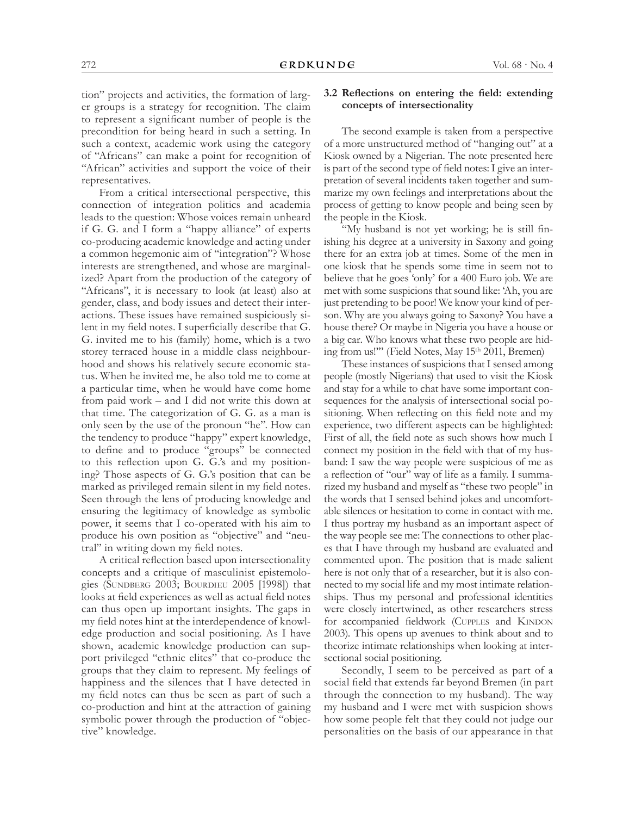tion" projects and activities, the formation of larger groups is a strategy for recognition. The claim to represent a significant number of people is the precondition for being heard in such a setting. In such a context, academic work using the category of "Africans" can make a point for recognition of "African" activities and support the voice of their representatives.

From a critical intersectional perspective, this connection of integration politics and academia leads to the question: Whose voices remain unheard if G. G. and I form a "happy alliance" of experts co-producing academic knowledge and acting under a common hegemonic aim of "integration"? Whose interests are strengthened, and whose are marginalized? Apart from the production of the category of "Africans", it is necessary to look (at least) also at gender, class, and body issues and detect their interactions. These issues have remained suspiciously silent in my field notes. I superficially describe that G. G. invited me to his (family) home, which is a two storey terraced house in a middle class neighbourhood and shows his relatively secure economic status. When he invited me, he also told me to come at a particular time, when he would have come home from paid work – and I did not write this down at that time. The categorization of G. G. as a man is only seen by the use of the pronoun "he". How can the tendency to produce "happy" expert knowledge, to define and to produce "groups" be connected to this reflection upon G. G.'s and my positioning? Those aspects of G. G.'s position that can be marked as privileged remain silent in my field notes. Seen through the lens of producing knowledge and ensuring the legitimacy of knowledge as symbolic power, it seems that I co-operated with his aim to produce his own position as "objective" and "neutral" in writing down my field notes.

A critical reflection based upon intersectionality concepts and a critique of masculinist epistemologies (SUNDBERG 2003; BOURDIEU 2005 [1998]) that looks at field experiences as well as actual field notes can thus open up important insights. The gaps in my field notes hint at the interdependence of knowledge production and social positioning. As I have shown, academic knowledge production can support privileged "ethnic elites" that co-produce the groups that they claim to represent. My feelings of happiness and the silences that I have detected in my field notes can thus be seen as part of such a co-production and hint at the attraction of gaining symbolic power through the production of "objective" knowledge.

# **3.2 Reflections on entering the field: extending concepts of intersectionality**

The second example is taken from a perspective of a more unstructured method of "hanging out" at a Kiosk owned by a Nigerian. The note presented here is part of the second type of field notes: I give an interpretation of several incidents taken together and summarize my own feelings and interpretations about the process of getting to know people and being seen by the people in the Kiosk.

"My husband is not yet working; he is still finishing his degree at a university in Saxony and going there for an extra job at times. Some of the men in one kiosk that he spends some time in seem not to believe that he goes 'only' for a 400 Euro job. We are met with some suspicions that sound like: 'Ah, you are just pretending to be poor! We know your kind of person. Why are you always going to Saxony? You have a house there? Or maybe in Nigeria you have a house or a big car. Who knows what these two people are hiding from us!"" (Field Notes, May 15<sup>th</sup> 2011, Bremen)

These instances of suspicions that I sensed among people (mostly Nigerians) that used to visit the Kiosk and stay for a while to chat have some important consequences for the analysis of intersectional social positioning. When reflecting on this field note and my experience, two different aspects can be highlighted: First of all, the field note as such shows how much I connect my position in the field with that of my husband: I saw the way people were suspicious of me as a reflection of "our" way of life as a family. I summarized my husband and myself as "these two people" in the words that I sensed behind jokes and uncomfortable silences or hesitation to come in contact with me. I thus portray my husband as an important aspect of the way people see me: The connections to other places that I have through my husband are evaluated and commented upon. The position that is made salient here is not only that of a researcher, but it is also connected to my social life and my most intimate relationships. Thus my personal and professional identities were closely intertwined, as other researchers stress for accompanied fieldwork (CUPPLES and KINDON 2003). This opens up avenues to think about and to theorize intimate relationships when looking at intersectional social positioning.

Secondly, I seem to be perceived as part of a social field that extends far beyond Bremen (in part through the connection to my husband). The way my husband and I were met with suspicion shows how some people felt that they could not judge our personalities on the basis of our appearance in that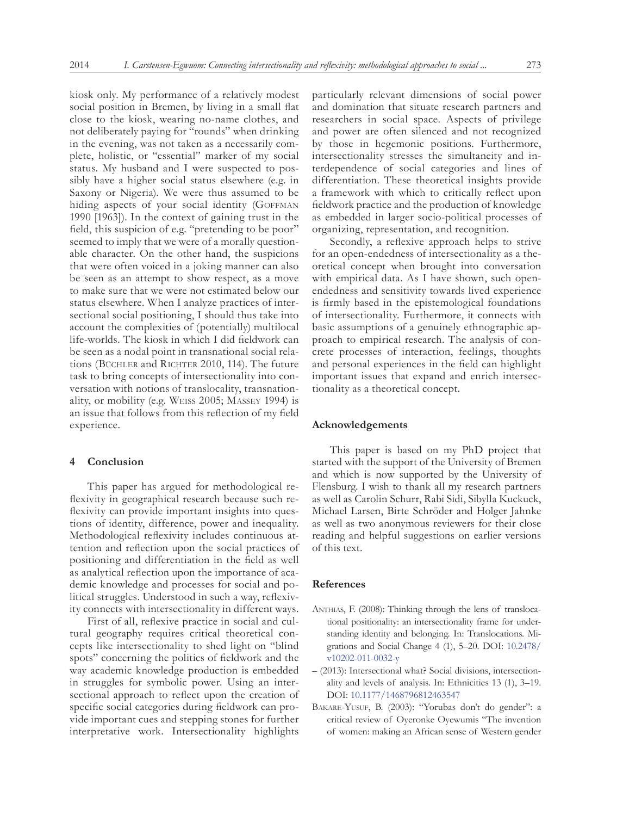kiosk only. My performance of a relatively modest social position in Bremen, by living in a small flat close to the kiosk, wearing no-name clothes, and not deliberately paying for "rounds" when drinking in the evening, was not taken as a necessarily complete, holistic, or "essential" marker of my social status. My husband and I were suspected to possibly have a higher social status elsewhere (e.g. in Saxony or Nigeria). We were thus assumed to be hiding aspects of your social identity (GOFFMAN 1990 [1963]). In the context of gaining trust in the field, this suspicion of e.g. "pretending to be poor" seemed to imply that we were of a morally questionable character. On the other hand, the suspicions that were often voiced in a joking manner can also be seen as an attempt to show respect, as a move to make sure that we were not estimated below our status elsewhere. When I analyze practices of intersectional social positioning, I should thus take into account the complexities of (potentially) multilocal life-worlds. The kiosk in which I did fieldwork can be seen as a nodal point in transnational social relations (BÜCHLER and RICHTER 2010, 114). The future task to bring concepts of intersectionality into conversation with notions of translocality, transnationality, or mobility (e.g. Weiss 2005; Massey 1994) is an issue that follows from this reflection of my field experience.

#### **4 Conclusion**

This paper has argued for methodological reflexivity in geographical research because such reflexivity can provide important insights into questions of identity, difference, power and inequality. Methodological reflexivity includes continuous attention and reflection upon the social practices of positioning and differentiation in the field as well as analytical reflection upon the importance of academic knowledge and processes for social and political struggles. Understood in such a way, reflexivity connects with intersectionality in different ways.

First of all, reflexive practice in social and cultural geography requires critical theoretical concepts like intersectionality to shed light on "blind spots" concerning the politics of fieldwork and the way academic knowledge production is embedded in struggles for symbolic power. Using an intersectional approach to reflect upon the creation of specific social categories during fieldwork can provide important cues and stepping stones for further interpretative work. Intersectionality highlights

particularly relevant dimensions of social power and domination that situate research partners and researchers in social space. Aspects of privilege and power are often silenced and not recognized by those in hegemonic positions. Furthermore, intersectionality stresses the simultaneity and interdependence of social categories and lines of differentiation. These theoretical insights provide a framework with which to critically reflect upon fieldwork practice and the production of knowledge as embedded in larger socio-political processes of organizing, representation, and recognition.

Secondly, a reflexive approach helps to strive for an open-endedness of intersectionality as a theoretical concept when brought into conversation with empirical data. As I have shown, such openendedness and sensitivity towards lived experience is firmly based in the epistemological foundations of intersectionality. Furthermore, it connects with basic assumptions of a genuinely ethnographic approach to empirical research. The analysis of concrete processes of interaction, feelings, thoughts and personal experiences in the field can highlight important issues that expand and enrich intersectionality as a theoretical concept.

#### **Acknowledgements**

This paper is based on my PhD project that started with the support of the University of Bremen and which is now supported by the University of Flensburg. I wish to thank all my research partners as well as Carolin Schurr, Rabi Sidi, Sibylla Kuckuck, Michael Larsen, Birte Schröder and Holger Jahnke as well as two anonymous reviewers for their close reading and helpful suggestions on earlier versions of this text.

#### **References**

- ANTHIAS, F. (2008): Thinking through the lens of translocational positionality: an intersectionality frame for understanding identity and belonging. In: Translocations. Migrations and Social Change 4 (1), 5–20. DOI: [10.2478/](dx.doi.org/10.2478/v10202-011-0032-y) [v10202-011-0032-y](dx.doi.org/10.2478/v10202-011-0032-y)
- (2013): Intersectional what? Social divisions, intersectionality and levels of analysis. In: Ethnicities 13 (1), 3–19. DOI: [10.1177/1468796812463547](dx.doi.org/10.1177/1468796812463547)
- BAKARE-YUSUF, B. (2003): "Yorubas don't do gender": a critical review of Oyeronke Oyewumis "The invention of women: making an African sense of Western gender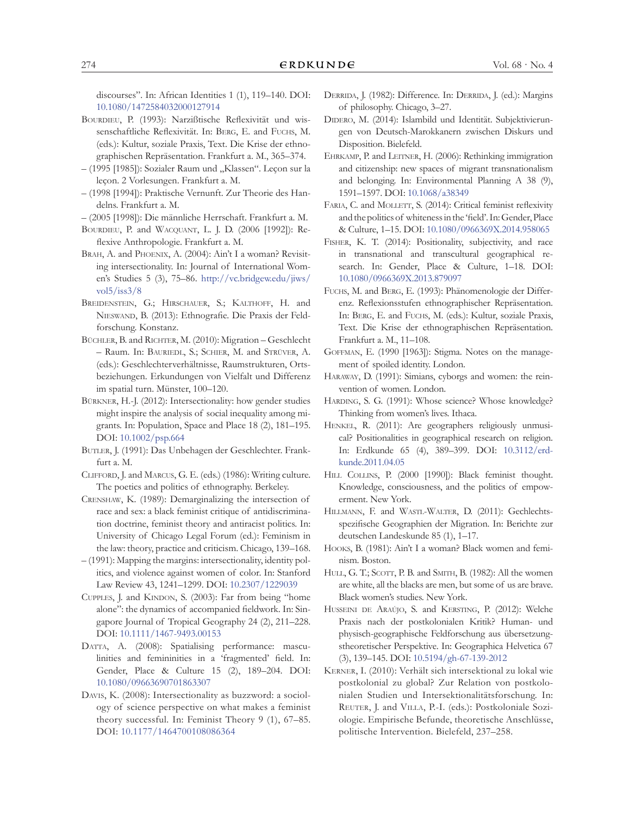discourses". In: African Identities 1 (1), 119–140. DOI: [10.1080/1472584032000127914](dx.doi.org/10.1080/1472584032000127914)

- BOURDIEU, P. (1993): Narzißtische Reflexivität und wissenschaftliche Reflexivität. In: Berg, E. and Fuchs, M. (eds.): Kultur, soziale Praxis, Text. Die Krise der ethnographischen Repräsentation. Frankfurt a. M., 365–374.
- (1995 [1985]): Sozialer Raum und "Klassen". Leçon sur la leçon. 2 Vorlesungen. Frankfurt a. M.
- (1998 [1994]): Praktische Vernunft. Zur Theorie des Handelns. Frankfurt a. M.
- (2005 [1998]): Die männliche Herrschaft. Frankfurt a. M.
- Bourdieu, P. and Wacquant, L. J. D. (2006 [1992]): Reflexive Anthropologie. Frankfurt a. M.
- BRAH, A. and PHOENIX, A. (2004): Ain't I a woman? Revisiting intersectionality. In: Journal of International Women's Studies 5 (3), 75–86. [http://vc.bridgew.edu/jiws/](http://vc.bridgew.edu/jiws/vol5/iss3/8) [vol5/iss3/8](http://vc.bridgew.edu/jiws/vol5/iss3/8)
- BREIDENSTEIN, G.; HIRSCHAUER, S.; KALTHOFF, H. and Nieswand, B. (2013): Ethnografie. Die Praxis der Feldforschung. Konstanz.
- BÜCHLER, B. and RICHTER, M. (2010): Migration Geschlecht – Raum. In: Bauriedl, S.; Schier, M. and Strüver, A. (eds.): Geschlechterverhältnisse, Raumstrukturen, Ortsbeziehungen. Erkundungen von Vielfalt und Differenz im spatial turn. Münster, 100–120.
- Bürkner, H.-J. (2012): Intersectionality: how gender studies might inspire the analysis of social inequality among migrants. In: Population, Space and Place 18 (2), 181–195. DOI: [10.1002/psp.664](dx.doi.org/10.1002/psp.664)
- BUTLER, J. (1991): Das Unbehagen der Geschlechter. Frankfurt a. M.
- Clifford, J. and Marcus, G. E. (eds.) (1986): Writing culture. The poetics and politics of ethnography. Berkeley.
- Crenshaw, K. (1989): Demarginalizing the intersection of race and sex: a black feminist critique of antidiscrimination doctrine, feminist theory and antiracist politics. In: University of Chicago Legal Forum (ed.): Feminism in the law: theory, practice and criticism. Chicago, 139–168.
- (1991): Mapping the margins: intersectionality, identity politics, and violence against women of color. In: Stanford Law Review 43, 1241–1299. DOI: [10.2307/1229039](dx.doi.org/10.2307/1229039)
- CUPPLES, J. and KINDON, S. (2003): Far from being "home alone": the dynamics of accompanied fieldwork. In: Singapore Journal of Tropical Geography 24 (2), 211–228. DOI: [10.1111/1467-9493.00153](dx.doi.org/10.1111/1467-9493.00153)
- DATTA, A. (2008): Spatialising performance: masculinities and femininities in a 'fragmented' field. In: Gender, Place & Culture 15 (2), 189–204. DOI: [10.1080/09663690701863307](dx.doi.org/10.1080/09663690701863307)
- Davis, K. (2008): Intersectionality as buzzword: a sociology of science perspective on what makes a feminist theory successful. In: Feminist Theory 9 (1), 67–85. DOI: [10.1177/1464700108086364](dx.doi.org/10.1177/1464700108086364)
- DERRIDA, J. (1982): Difference. In: DERRIDA, J. (ed.): Margins of philosophy. Chicago, 3–27.
- DIDERO, M. (2014): Islambild und Identität. Subjektivierungen von Deutsch-Marokkanern zwischen Diskurs und Disposition. Bielefeld.
- Ehrkamp, P. and Leitner, H. (2006): Rethinking immigration and citizenship: new spaces of migrant transnationalism and belonging. In: Environmental Planning A 38 (9), 1591–1597. DOI: [10.1068/a38349](dx.doi.org/10.1068/a38349)
- FARIA, C. and MOLLETT, S. (2014): Critical feminist reflexivity and the politics of whiteness in the 'field'. In: Gender, Place & Culture, 1–15. DOI: [10.1080/0966369X.2014.958065](dx.doi.org/10.1080/0966369X.2014.958065)
- FISHER, K. T. (2014): Positionality, subjectivity, and race in transnational and transcultural geographical research. In: Gender, Place & Culture, 1–18. DOI: [10.1080/0966369X.2013.879097](dx.doi.org/10.1080/0966369X.2013.879097)
- Fuchs, M. and Berg, E. (1993): Phänomenologie der Differenz. Reflexionsstufen ethnographischer Repräsentation. In: Berg, E. and Fuchs, M. (eds.): Kultur, soziale Praxis, Text. Die Krise der ethnographischen Repräsentation. Frankfurt a. M., 11–108.
- Goffman, E. (1990 [1963]): Stigma. Notes on the management of spoiled identity. London.
- Haraway, D. (1991): Simians, cyborgs and women: the reinvention of women. London.
- HARDING, S. G. (1991): Whose science? Whose knowledge? Thinking from women's lives. Ithaca.
- HENKEL, R. (2011): Are geographers religiously unmusical? Positionalities in geographical research on religion. In: Erdkunde 65 (4), 389–399. DOI: [10.3112/erd](dx.doi.org/10.3112/erdkunde.2011.04.05)[kunde.2011.04.05](dx.doi.org/10.3112/erdkunde.2011.04.05)
- HILL COLLINS, P. (2000 [1990]): Black feminist thought. Knowledge, consciousness, and the politics of empowerment. New York.
- Hillmann, F. and Wastl-Walter, D. (2011): Gechlechtsspezifische Geographien der Migration. In: Berichte zur deutschen Landeskunde 85 (1), 1–17.
- Hooks, B. (1981): Ain't I a woman? Black women and feminism. Boston.
- HULL, G. T.; SCOTT, P. B. and SMITH, B. (1982): All the women are white, all the blacks are men, but some of us are brave. Black women's studies. New York.
- HUSSEINI DE ARAÚJO, S. and KERSTING, P. (2012): Welche Praxis nach der postkolonialen Kritik? Human- und physisch-geographische Feldforschung aus übersetzungstheoretischer Perspektive. In: Geographica Helvetica 67 (3), 139–145. DOI: [10.5194/gh-67-139-2012](dx.doi.org/10.5194/gh-67-139-2012)
- Kerner, I. (2010): Verhält sich intersektional zu lokal wie postkolonial zu global? Zur Relation von postkolonialen Studien und Intersektionalitätsforschung. In: Reuter, J. and Villa, P.-I. (eds.): Postkoloniale Soziologie. Empirische Befunde, theoretische Anschlüsse, politische Intervention. Bielefeld, 237–258.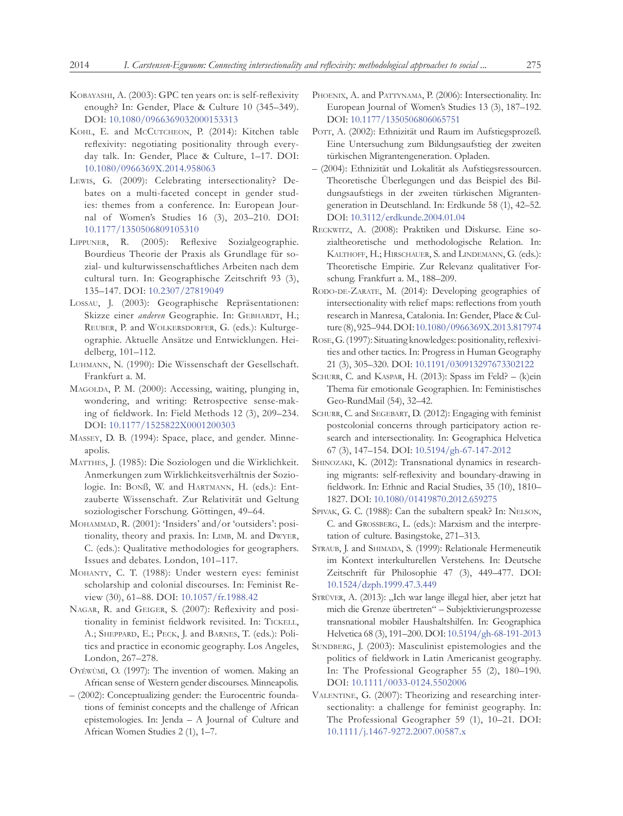- Kobayashi, A. (2003): GPC ten years on: is self-reflexivity enough? In: Gender, Place & Culture 10 (345–349). DOI: [10.1080/0966369032000153313](dx.doi.org/10.1080/0966369032000153313)
- KOHL, E. and McCUTCHEON, P. (2014): Kitchen table reflexivity: negotiating positionality through everyday talk. In: Gender, Place & Culture, 1–17. DOI: [10.1080/0966369X.2014.958063](dx.doi.org/10.1080/0966369X.2014.958063)
- Lewis, G. (2009): Celebrating intersectionality? Debates on a multi-faceted concept in gender studies: themes from a conference. In: European Journal of Women's Studies 16 (3), 203–210. DOI: [10.1177/1350506809105310](dx.doi.org/10.1177/1350506809105310)
- Lippuner, R. (2005): Reflexive Sozialgeographie. Bourdieus Theorie der Praxis als Grundlage für sozial- und kulturwissenschaftliches Arbeiten nach dem cultural turn. In: Geographische Zeitschrift 93 (3), 135–147. DOI: [10.2307/27819049](dx.doi.org/10.2307/27819049)
- Lossau, J. (2003): Geographische Repräsentationen: Skizze einer *anderen* Geographie. In: GEBHARDT, H.; Reuber, P. and Wolkersdorfer, G. (eds.): Kulturgeographie. Aktuelle Ansätze und Entwicklungen. Heidelberg, 101–112.
- Luhmann, N. (1990): Die Wissenschaft der Gesellschaft. Frankfurt a. M.
- MAGOLDA, P. M. (2000): Accessing, waiting, plunging in, wondering, and writing: Retrospective sense-making of fieldwork. In: Field Methods 12 (3), 209–234. DOI: [10.1177/1525822X0001200303](dx.doi.org/10.1177/1525822X0001200303)
- Massey, D. B. (1994): Space, place, and gender. Minneapolis.
- Matthes, J. (1985): Die Soziologen und die Wirklichkeit. Anmerkungen zum Wirklichkeitsverhältnis der Soziologie. In: Bonß, W. and Hartmann, H. (eds.): Entzauberte Wissenschaft. Zur Relativität und Geltung soziologischer Forschung. Göttingen, 49–64.
- Mohammad, R. (2001): 'Insiders' and/or 'outsiders': positionality, theory and praxis. In: Limb, M. and Dwyer, C. (eds.): Qualitative methodologies for geographers. Issues and debates. London, 101–117.
- Mohanty, C. T. (1988): Under western eyes: feminist scholarship and colonial discourses. In: Feminist Review (30), 61–88. DOI: [10.1057/fr.1988.42](dx.doi.org/10.1057/fr.1988.42)
- NAGAR, R. and GEIGER, S. (2007): Reflexivity and positionality in feminist fieldwork revisited. In: TICKELL, A.; SHEPPARD, E.; PECK, J. and BARNES, T. (eds.): Politics and practice in economic geography. Los Angeles, London, 267–278.
- Oyěwùmí, O. (1997): The invention of women. Making an African sense of Western gender discourses. Minneapolis.
- (2002): Conceptualizing gender: the Eurocentric foundations of feminist concepts and the challenge of African epistemologies. In: Jenda – A Journal of Culture and African Women Studies 2 (1), 1–7.
- PHOENIX, A. and PATTYNAMA, P. (2006): Intersectionality. In: European Journal of Women's Studies 13 (3), 187–192. DOI: [10.1177/1350506806065751](dx.doi.org/10.1177/1350506806065751)
- POTT, A. (2002): Ethnizität und Raum im Aufstiegsprozeß. Eine Untersuchung zum Bildungsaufstieg der zweiten türkischen Migrantengeneration. Opladen.
- (2004): Ethnizität und Lokalität als Aufstiegsressourcen. Theoretische Überlegungen und das Beispiel des Bildungsaufstiegs in der zweiten türkischen Migrantengeneration in Deutschland. In: Erdkunde 58 (1), 42–52. DOI: [10.3112/erdkunde.2004.01.04](dx.doi.org/10.3112/erdkunde.2004.01.04)
- Reckwitz, A. (2008): Praktiken und Diskurse. Eine sozialtheoretische und methodologische Relation. In: Kalthoff, H.; Hirschauer, S. and Lindemann, G. (eds.): Theoretische Empirie. Zur Relevanz qualitativer Forschung. Frankfurt a. M., 188–209.
- RODO-DE-ZARATE, M. (2014): Developing geographies of intersectionality with relief maps: reflections from youth research in Manresa, Catalonia. In: Gender, Place & Culture (8), 925–944. DOI: [10.1080/0966369X.2013.817974](dx.doi.org/10.1080/0966369X.2013.817974%0D)
- Rose, G. (1997): Situating knowledges: positionality, reflexivities and other tactics. In: Progress in Human Geography 21 (3), 305–320. DOI: [10.1191/030913297673302122](dx.doi.org/10.1191/030913297673302122)
- SCHURR, C. and KASPAR, H. (2013): Spass im Feld? (k)ein Thema für emotionale Geographien. In: Feministisches Geo-RundMail (54), 32–42.
- SCHURR, C. and SEGEBART, D. (2012): Engaging with feminist postcolonial concerns through participatory action research and intersectionality. In: Geographica Helvetica 67 (3), 147–154. DOI: [10.5194/gh-67-147-2012](dx.doi.org/10.5194/gh-67-147-2012)
- SHINOZAKI, K. (2012): Transnational dynamics in researching migrants: self-reflexivity and boundary-drawing in fieldwork. In: Ethnic and Racial Studies, 35 (10), 1810– 1827. DOI: [10.1080/01419870.2012.659275](dx.doi.org/10.1080/01419870.2012.659275)
- SPIVAK, G. C. (1988): Can the subaltern speak? In: NELSON, C. and Grossberg, L. (eds.): Marxism and the interpretation of culture. Basingstoke, 271–313.
- STRAUB, J. and SHIMADA, S. (1999): Relationale Hermeneutik im Kontext interkulturellen Verstehens. In: Deutsche Zeitschrift für Philosophie 47 (3), 449–477. DOI: [10.1524/dzph.1999.47.3.449](dx.doi.org/10.1524/dzph.1999.47.3.449)
- STRÜVER, A. (2013): "Ich war lange illegal hier, aber jetzt hat mich die Grenze übertreten" – Subjektivierungsprozesse transnational mobiler Haushaltshilfen. In: Geographica Helvetica 68 (3), 191–200. DOI: [10.5194/gh-68-191-2013](dx.doi.org/10.5194/gh-68-191-2013)
- SUNDBERG, J. (2003): Masculinist epistemologies and the politics of fieldwork in Latin Americanist geography. In: The Professional Geographer 55 (2), 180–190. DOI: [10.1111/0033-0124.5502006](dx.doi.org/10.1111/0033-0124.5502006)
- VALENTINE, G. (2007): Theorizing and researching intersectionality: a challenge for feminist geography. In: The Professional Geographer 59 (1), 10–21. DOI: [10.1111/j.1467-9272.2007.00587.x](dx.doi.org/10.1111/j.1467-9272.2007.00587.x)